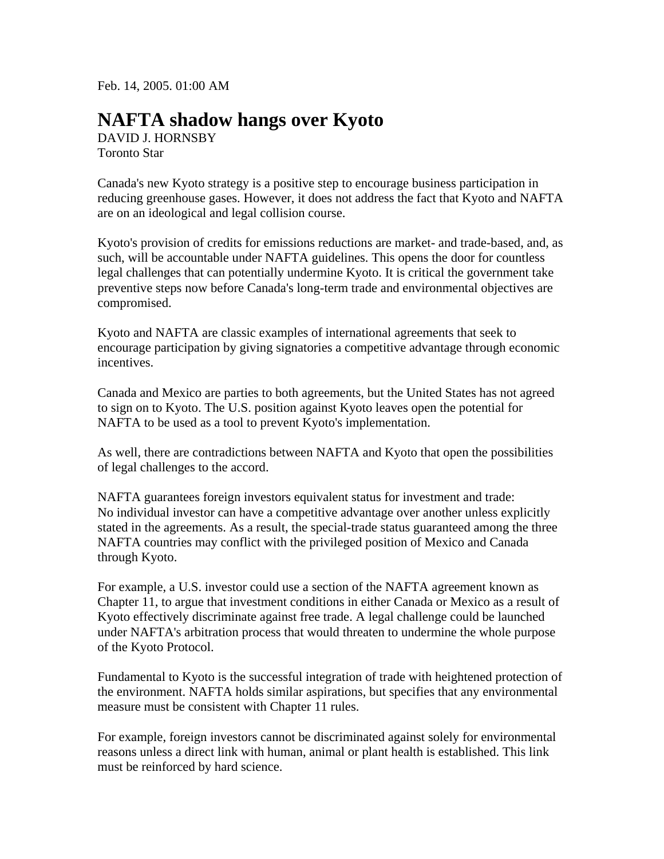Feb. 14, 2005. 01:00 AM

## **NAFTA shadow hangs over Kyoto**

DAVID J. HORNSBY Toronto Star

Canada's new Kyoto strategy is a positive step to encourage business participation in reducing greenhouse gases. However, it does not address the fact that Kyoto and NAFTA are on an ideological and legal collision course.

Kyoto's provision of credits for emissions reductions are market- and trade-based, and, as such, will be accountable under NAFTA guidelines. This opens the door for countless legal challenges that can potentially undermine Kyoto. It is critical the government take preventive steps now before Canada's long-term trade and environmental objectives are compromised.

Kyoto and NAFTA are classic examples of international agreements that seek to encourage participation by giving signatories a competitive advantage through economic incentives.

Canada and Mexico are parties to both agreements, but the United States has not agreed to sign on to Kyoto. The U.S. position against Kyoto leaves open the potential for NAFTA to be used as a tool to prevent Kyoto's implementation.

As well, there are contradictions between NAFTA and Kyoto that open the possibilities of legal challenges to the accord.

NAFTA guarantees foreign investors equivalent status for investment and trade: No individual investor can have a competitive advantage over another unless explicitly stated in the agreements. As a result, the special-trade status guaranteed among the three NAFTA countries may conflict with the privileged position of Mexico and Canada through Kyoto.

For example, a U.S. investor could use a section of the NAFTA agreement known as Chapter 11, to argue that investment conditions in either Canada or Mexico as a result of Kyoto effectively discriminate against free trade. A legal challenge could be launched under NAFTA's arbitration process that would threaten to undermine the whole purpose of the Kyoto Protocol.

Fundamental to Kyoto is the successful integration of trade with heightened protection of the environment. NAFTA holds similar aspirations, but specifies that any environmental measure must be consistent with Chapter 11 rules.

For example, foreign investors cannot be discriminated against solely for environmental reasons unless a direct link with human, animal or plant health is established. This link must be reinforced by hard science.